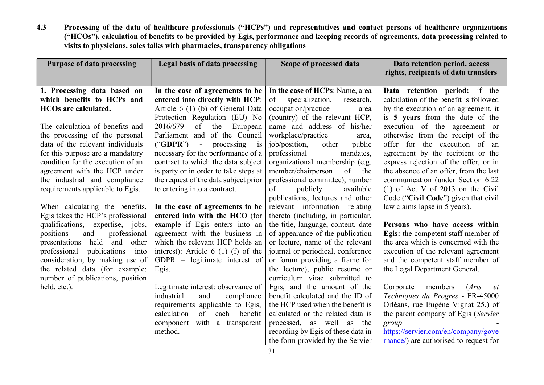4.3 Processing of the data of healthcare professionals ("HCPs") and representatives and contact persons of healthcare organizations ("HCOs"), calculation of benefits to be provided by Egis, performance and keeping records of agreements, data processing related to visits to physicians, sales talks with pharmacies, transparency obligations

| <b>Purpose of data processing</b>     | Legal basis of data processing              | Scope of processed data            | Data retention period, access<br>rights, recipients of data transfers |
|---------------------------------------|---------------------------------------------|------------------------------------|-----------------------------------------------------------------------|
| 1. Processing data based on           | In the case of agreements to be             | In the case of HCPs: Name, area    | Data retention period: if the                                         |
| which benefits to HCPs and            | entered into directly with HCP:             | specialization,<br>of<br>research, | calculation of the benefit is followed                                |
| <b>HCOs are calculated.</b>           | Article 6 (1) (b) of General Data           | occupation/practice<br>area        | by the execution of an agreement, it                                  |
|                                       | Protection Regulation (EU) No               | (country) of the relevant HCP,     | is 5 years from the date of the                                       |
| The calculation of benefits and       | 2016/679<br>of the<br>European              | name and address of his/her        | execution of the agreement or                                         |
| the processing of the personal        | Parliament and of the Council               | workplace/practice<br>area,        | otherwise from the receipt of the                                     |
| data of the relevant individuals      | $("GDPR")$ -<br>processing<br>$\frac{1}{1}$ | job/position,<br>public<br>other   | offer for the execution of an                                         |
| for this purpose are a mandatory      | necessary for the performance of a          | mandates,<br>professional          | agreement by the recipient or the                                     |
| condition for the execution of an     | contract to which the data subject          | organizational membership (e.g.    | express rejection of the offer, or in                                 |
| agreement with the HCP under          | is party or in order to take steps at       | member/chairperson<br>of the       | the absence of an offer, from the last                                |
| the industrial and compliance         | the request of the data subject prior       | professional committee), number    | communication (under Section 6:22                                     |
| requirements applicable to Egis.      | to entering into a contract.                | available<br>publicly<br>of        | $(1)$ of Act V of 2013 on the Civil                                   |
|                                       |                                             | publications, lectures and other   | Code ("Civil Code") given that civil                                  |
| When calculating the benefits,        | In the case of agreements to be             | relevant information relating      | law claims lapse in 5 years).                                         |
| Egis takes the HCP's professional     | entered into with the HCO (for              | thereto (including, in particular, |                                                                       |
| qualifications, expertise, jobs,      | example if Egis enters into an              | the title, language, content, date | Persons who have access within                                        |
| professional<br>positions<br>and      | agreement with the business in              | of appearance of the publication   | Egis: the competent staff member of                                   |
| held<br>and<br>other<br>presentations | which the relevant HCP holds an             | or lecture, name of the relevant   | the area which is concerned with the                                  |
| professional<br>publications<br>into  | interest): Article $6(1)(f)$ of the         | journal or periodical, conference  | execution of the relevant agreement                                   |
| consideration, by making use of       | GDPR – legitimate interest of               | or forum providing a frame for     | and the competent staff member of                                     |
| the related data (for example:        | Egis.                                       | the lecture), public resume or     | the Legal Department General.                                         |
| number of publications, position      |                                             | curriculum vitae submitted to      |                                                                       |
| held, etc.).                          | Legitimate interest: observance of          | Egis, and the amount of the        | members<br>Corporate<br>Arts<br><i>et</i>                             |
|                                       | industrial<br>and<br>compliance             | benefit calculated and the ID of   | Techniques du Progres - FR-45000                                      |
|                                       | requirements applicable to Egis,            | the HCP used when the benefit is   | Orléans, rue Eugéne Vignat 25.) of                                    |
|                                       | calculation<br>of<br>each<br>benefit        | calculated or the related data is  | the parent company of Egis (Servier                                   |
|                                       | component with a transparent                | processed, as well as the          | group                                                                 |
|                                       | method.                                     | recording by Egis of these data in | https://servier.com/en/company/gove                                   |
|                                       |                                             | the form provided by the Servier   | mance/) are authorised to request for                                 |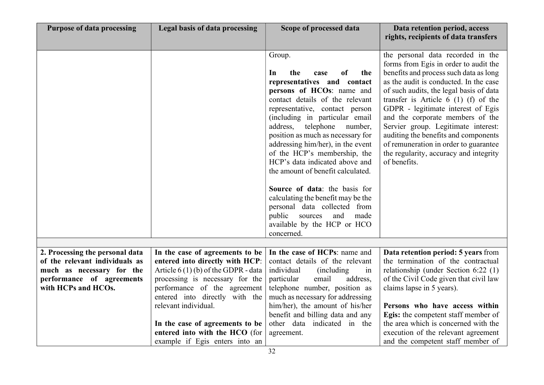| <b>Purpose of data processing</b>                                 | Legal basis of data processing                                          | Scope of processed data                                               | Data retention period, access<br>rights, recipients of data transfers       |
|-------------------------------------------------------------------|-------------------------------------------------------------------------|-----------------------------------------------------------------------|-----------------------------------------------------------------------------|
|                                                                   |                                                                         |                                                                       |                                                                             |
|                                                                   |                                                                         | Group.                                                                | the personal data recorded in the                                           |
|                                                                   |                                                                         |                                                                       | forms from Egis in order to audit the                                       |
|                                                                   |                                                                         | the<br>of<br>the<br>In<br>case                                        | benefits and process such data as long                                      |
|                                                                   |                                                                         | representatives and contact                                           | as the audit is conducted. In the case                                      |
|                                                                   |                                                                         | persons of HCOs: name and                                             | of such audits, the legal basis of data                                     |
|                                                                   |                                                                         | contact details of the relevant                                       | transfer is Article $6(1)$ (f) of the                                       |
|                                                                   |                                                                         | representative, contact person                                        | GDPR - legitimate interest of Egis                                          |
|                                                                   |                                                                         | (including in particular email                                        | and the corporate members of the                                            |
|                                                                   |                                                                         | address,<br>telephone<br>number,<br>position as much as necessary for | Servier group. Legitimate interest:<br>auditing the benefits and components |
|                                                                   |                                                                         | addressing him/her), in the event                                     | of remuneration in order to guarantee                                       |
|                                                                   |                                                                         | of the HCP's membership, the                                          | the regularity, accuracy and integrity                                      |
|                                                                   |                                                                         | HCP's data indicated above and                                        | of benefits.                                                                |
|                                                                   |                                                                         | the amount of benefit calculated.                                     |                                                                             |
|                                                                   |                                                                         |                                                                       |                                                                             |
|                                                                   |                                                                         | Source of data: the basis for                                         |                                                                             |
|                                                                   |                                                                         | calculating the benefit may be the                                    |                                                                             |
|                                                                   |                                                                         | personal data collected from                                          |                                                                             |
|                                                                   |                                                                         | and<br>public sources<br>made                                         |                                                                             |
|                                                                   |                                                                         | available by the HCP or HCO                                           |                                                                             |
|                                                                   |                                                                         | concerned.                                                            |                                                                             |
|                                                                   |                                                                         |                                                                       |                                                                             |
| 2. Processing the personal data<br>of the relevant individuals as | In the case of agreements to be                                         | In the case of HCPs: name and<br>contact details of the relevant      | Data retention period: 5 years from<br>the termination of the contractual   |
| much as necessary for the                                         | entered into directly with HCP:<br>Article $6(1)(b)$ of the GDPR - data | individual<br>(including)<br>in                                       | relationship (under Section 6:22 (1)                                        |
| performance of agreements                                         | processing is necessary for the                                         | particular<br>email<br>address,                                       | of the Civil Code given that civil law                                      |
| with HCPs and HCOs.                                               | performance of the agreement                                            | telephone number, position as                                         | claims lapse in 5 years).                                                   |
|                                                                   | entered into directly with the                                          | much as necessary for addressing                                      |                                                                             |
|                                                                   | relevant individual.                                                    | him/her), the amount of his/her                                       | Persons who have access within                                              |
|                                                                   |                                                                         | benefit and billing data and any                                      | Egis: the competent staff member of                                         |
|                                                                   | In the case of agreements to be                                         | other data indicated in the                                           | the area which is concerned with the                                        |
|                                                                   | entered into with the HCO (for                                          | agreement.                                                            | execution of the relevant agreement                                         |
|                                                                   | example if Egis enters into an                                          |                                                                       | and the competent staff member of                                           |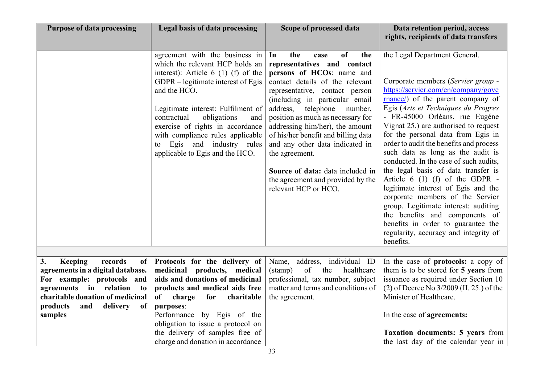| <b>Purpose of data processing</b>                                                                                                                                                                                            | <b>Legal basis of data processing</b>                                                                                                                                                                                                                                                                                                                                                 | Scope of processed data                                                                                                                                                                                                                                                                                                                                                                                                                                                                                    | Data retention period, access<br>rights, recipients of data transfers                                                                                                                                                                                                                                                                                                                                                                                                                                                                                                                                                                                                                                                                                         |
|------------------------------------------------------------------------------------------------------------------------------------------------------------------------------------------------------------------------------|---------------------------------------------------------------------------------------------------------------------------------------------------------------------------------------------------------------------------------------------------------------------------------------------------------------------------------------------------------------------------------------|------------------------------------------------------------------------------------------------------------------------------------------------------------------------------------------------------------------------------------------------------------------------------------------------------------------------------------------------------------------------------------------------------------------------------------------------------------------------------------------------------------|---------------------------------------------------------------------------------------------------------------------------------------------------------------------------------------------------------------------------------------------------------------------------------------------------------------------------------------------------------------------------------------------------------------------------------------------------------------------------------------------------------------------------------------------------------------------------------------------------------------------------------------------------------------------------------------------------------------------------------------------------------------|
|                                                                                                                                                                                                                              | agreement with the business in<br>which the relevant HCP holds an<br>interest): Article $6(1)(f)$ of the<br>GDPR – legitimate interest of Egis<br>and the HCO.<br>Legitimate interest: Fulfilment of<br>obligations<br>contractual<br>and<br>exercise of rights in accordance<br>with compliance rules applicable<br>Egis and industry rules<br>to<br>applicable to Egis and the HCO. | of<br>In<br>the<br>the<br>case<br>representatives and contact<br>persons of HCOs: name and<br>contact details of the relevant<br>representative, contact person<br>(including in particular email<br>address,<br>telephone<br>number,<br>position as much as necessary for<br>addressing him/her), the amount<br>of his/her benefit and billing data<br>and any other data indicated in<br>the agreement.<br>Source of data: data included in<br>the agreement and provided by the<br>relevant HCP or HCO. | the Legal Department General.<br>Corporate members (Servier group -<br>https://servier.com/en/company/gove<br>rnance/) of the parent company of<br>Egis (Arts et Techniques du Progres<br>- FR-45000 Orléans, rue Eugéne<br>Vignat 25.) are authorised to request<br>for the personal data from Egis in<br>order to audit the benefits and process<br>such data as long as the audit is<br>conducted. In the case of such audits,<br>the legal basis of data transfer is<br>Article $6(1)$ (f) of the GDPR -<br>legitimate interest of Egis and the<br>corporate members of the Servier<br>group. Legitimate interest: auditing<br>the benefits and components of<br>benefits in order to guarantee the<br>regularity, accuracy and integrity of<br>benefits. |
|                                                                                                                                                                                                                              |                                                                                                                                                                                                                                                                                                                                                                                       |                                                                                                                                                                                                                                                                                                                                                                                                                                                                                                            |                                                                                                                                                                                                                                                                                                                                                                                                                                                                                                                                                                                                                                                                                                                                                               |
| 3.<br><b>Keeping</b><br>records<br>of<br>agreements in a digital database.<br>For example: protocols and<br>agreements in relation<br>to<br>charitable donation of medicinal<br>products<br>and<br>delivery<br>of<br>samples | Protocols for the delivery of<br>medicinal products, medical<br>aids and donations of medicinal<br>products and medical aids free<br>of<br>charge<br>for<br>charitable<br>purposes:<br>Performance by Egis of the<br>obligation to issue a protocol on<br>the delivery of samples free of                                                                                             | Name, address, individual ID<br>$(\text{stamp})$<br>of<br>the<br>healthcare<br>professional, tax number, subject<br>matter and terms and conditions of<br>the agreement.                                                                                                                                                                                                                                                                                                                                   | In the case of protocols: a copy of<br>them is to be stored for 5 years from<br>issuance as required under Section 10<br>(2) of Decree No 3/2009 (II. 25.) of the<br>Minister of Healthcare.<br>In the case of <b>agreements:</b><br><b>Taxation documents: 5 years from</b>                                                                                                                                                                                                                                                                                                                                                                                                                                                                                  |
|                                                                                                                                                                                                                              | charge and donation in accordance                                                                                                                                                                                                                                                                                                                                                     |                                                                                                                                                                                                                                                                                                                                                                                                                                                                                                            | the last day of the calendar year in                                                                                                                                                                                                                                                                                                                                                                                                                                                                                                                                                                                                                                                                                                                          |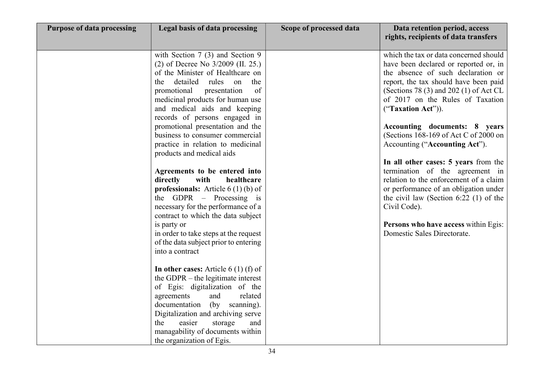| <b>Purpose of data processing</b> | Legal basis of data processing                                                                                                                                                                                                                                                                                                              | Scope of processed data | Data retention period, access<br>rights, recipients of data transfers                                                                                                                                                                                                                         |
|-----------------------------------|---------------------------------------------------------------------------------------------------------------------------------------------------------------------------------------------------------------------------------------------------------------------------------------------------------------------------------------------|-------------------------|-----------------------------------------------------------------------------------------------------------------------------------------------------------------------------------------------------------------------------------------------------------------------------------------------|
|                                   | with Section $7(3)$ and Section 9<br>(2) of Decree No 3/2009 (II. 25.)<br>of the Minister of Healthcare on<br>detailed<br>rules<br>on<br>the<br>the<br>of<br>promotional<br>presentation<br>medicinal products for human use<br>and medical aids and keeping<br>records of persons engaged in                                               |                         | which the tax or data concerned should<br>have been declared or reported or, in<br>the absence of such declaration or<br>report, the tax should have been paid<br>(Sections 78 $(3)$ and 202 $(1)$ of Act CL<br>of 2017 on the Rules of Taxation<br>("Taxation Act")).                        |
|                                   | promotional presentation and the<br>business to consumer commercial<br>practice in relation to medicinal<br>products and medical aids                                                                                                                                                                                                       |                         | Accounting documents: 8 years<br>(Sections 168-169 of Act C of 2000 on<br>Accounting ("Accounting Act").                                                                                                                                                                                      |
|                                   | Agreements to be entered into<br>directly<br>with<br>healthcare<br><b>professionals:</b> Article $6(1)(b)$ of<br>the GDPR $-$ Processing is<br>necessary for the performance of a<br>contract to which the data subject<br>is party or<br>in order to take steps at the request<br>of the data subject prior to entering<br>into a contract |                         | In all other cases: 5 years from the<br>termination of the agreement in<br>relation to the enforcement of a claim<br>or performance of an obligation under<br>the civil law (Section 6:22 $(1)$ of the<br>Civil Code).<br>Persons who have access within Egis:<br>Domestic Sales Directorate. |
|                                   | In other cases: Article $6(1)$ (f) of<br>the GDPR – the legitimate interest<br>of Egis: digitalization of the<br>agreements<br>related<br>and<br>documentation (by scanning).<br>Digitalization and archiving serve<br>easier<br>the<br>storage<br>and<br>managability of documents within<br>the organization of Egis.                     |                         |                                                                                                                                                                                                                                                                                               |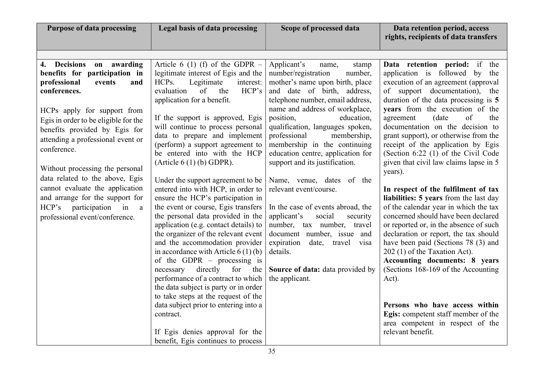| <b>Purpose of data processing</b>                                                                                                                                                                                                                                                                                                                                                                                                                                                                 | Legal basis of data processing                                                                                                                                                                                                                                                                                                                                                                                                                                                                                                                                                                                                                                                                                                                                                                                                                                                                                                                                                                       | Scope of processed data                                                                                                                                                                                                                                                                                                                                                                                                                                                                                                                                                                                                                                                                                     | Data retention period, access<br>rights, recipients of data transfers                                                                                                                                                                                                                                                                                                                                                                                                                                                                                                                                                                                                                                                                                                                                                                                                                                                                                                                                                |
|---------------------------------------------------------------------------------------------------------------------------------------------------------------------------------------------------------------------------------------------------------------------------------------------------------------------------------------------------------------------------------------------------------------------------------------------------------------------------------------------------|------------------------------------------------------------------------------------------------------------------------------------------------------------------------------------------------------------------------------------------------------------------------------------------------------------------------------------------------------------------------------------------------------------------------------------------------------------------------------------------------------------------------------------------------------------------------------------------------------------------------------------------------------------------------------------------------------------------------------------------------------------------------------------------------------------------------------------------------------------------------------------------------------------------------------------------------------------------------------------------------------|-------------------------------------------------------------------------------------------------------------------------------------------------------------------------------------------------------------------------------------------------------------------------------------------------------------------------------------------------------------------------------------------------------------------------------------------------------------------------------------------------------------------------------------------------------------------------------------------------------------------------------------------------------------------------------------------------------------|----------------------------------------------------------------------------------------------------------------------------------------------------------------------------------------------------------------------------------------------------------------------------------------------------------------------------------------------------------------------------------------------------------------------------------------------------------------------------------------------------------------------------------------------------------------------------------------------------------------------------------------------------------------------------------------------------------------------------------------------------------------------------------------------------------------------------------------------------------------------------------------------------------------------------------------------------------------------------------------------------------------------|
|                                                                                                                                                                                                                                                                                                                                                                                                                                                                                                   |                                                                                                                                                                                                                                                                                                                                                                                                                                                                                                                                                                                                                                                                                                                                                                                                                                                                                                                                                                                                      |                                                                                                                                                                                                                                                                                                                                                                                                                                                                                                                                                                                                                                                                                                             |                                                                                                                                                                                                                                                                                                                                                                                                                                                                                                                                                                                                                                                                                                                                                                                                                                                                                                                                                                                                                      |
| 4. Decisions on awarding<br>benefits for participation in<br>professional<br>events<br>and<br>conferences.<br>HCPs apply for support from<br>Egis in order to be eligible for the<br>benefits provided by Egis for<br>attending a professional event or<br>conference.<br>Without processing the personal<br>data related to the above, Egis<br>cannot evaluate the application<br>and arrange for the support for<br>HCP's participation<br>in<br><sub>a</sub><br>professional event/conference. | Article 6 (1) (f) of the GDPR $-$<br>legitimate interest of Egis and the<br>HCPs.<br>Legitimate<br>interest:<br>evaluation<br>of<br>the<br>HCP's<br>application for a benefit.<br>If the support is approved, Egis<br>will continue to process personal<br>data to prepare and implement<br>(perform) a support agreement to<br>be entered into with the HCP<br>(Article $6(1)$ (b) GDPR).<br>Under the support agreement to be<br>entered into with HCP, in order to<br>ensure the HCP's participation in<br>the event or course, Egis transfers<br>the personal data provided in the<br>application (e.g. contact details) to<br>the organizer of the relevant event<br>and the accommodation provider<br>in accordance with Article $6(1)(b)$<br>of the GDPR $-$ processing is<br>necessary<br>directly<br>for<br>the<br>performance of a contract to which<br>the data subject is party or in order<br>to take steps at the request of the<br>data subject prior to entering into a<br>contract. | Applicant's<br>stamp<br>name,<br>number/registration<br>number,<br>mother's name upon birth, place<br>and date of birth, address,<br>telephone number, email address,<br>name and address of workplace,<br>position,<br>education,<br>qualification, languages spoken,<br>professional<br>membership,<br>membership in the continuing<br>education centre, application for<br>support and its justification.<br>Name, venue, dates of the<br>relevant event/course.<br>In the case of events abroad, the<br>applicant's<br>social<br>security<br>number, tax number, travel<br>document number, issue and<br>expiration date, travel visa<br>details.<br>Source of data: data provided by<br>the applicant. | Data retention period: if the<br>application is followed by the<br>execution of an agreement (approval<br>of support documentation), the<br>duration of the data processing is 5<br>years from the execution of the<br>agreement<br>of<br>(date<br>the<br>documentation on the decision to<br>grant support), or otherwise from the<br>receipt of the application by Egis<br>(Section 6:22 (1) of the Civil Code<br>given that civil law claims lapse in 5<br>years).<br>In respect of the fulfilment of tax<br>liabilities: 5 years from the last day<br>of the calendar year in which the tax<br>concerned should have been declared<br>or reported or, in the absence of such<br>declaration or report, the tax should<br>have been paid (Sections 78 (3) and<br>202 (1) of the Taxation Act).<br>Accounting documents: 8 years<br>(Sections 168-169 of the Accounting<br>Act).<br>Persons who have access within<br>Egis: competent staff member of the<br>area competent in respect of the<br>relevant benefit. |
|                                                                                                                                                                                                                                                                                                                                                                                                                                                                                                   | If Egis denies approval for the<br>benefit, Egis continues to process                                                                                                                                                                                                                                                                                                                                                                                                                                                                                                                                                                                                                                                                                                                                                                                                                                                                                                                                |                                                                                                                                                                                                                                                                                                                                                                                                                                                                                                                                                                                                                                                                                                             |                                                                                                                                                                                                                                                                                                                                                                                                                                                                                                                                                                                                                                                                                                                                                                                                                                                                                                                                                                                                                      |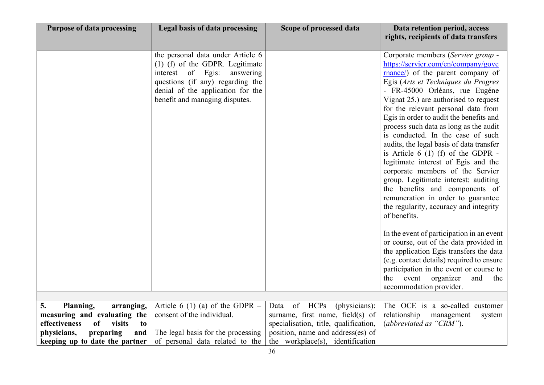| <b>Purpose of data processing</b>   | Legal basis of data processing                                                                                                                                                                                    | Scope of processed data               | Data retention period, access<br>rights, recipients of data transfers                                                                                                                                                                                                                                                                                                                                                                                                                                                                                                                                                                                                                                                                                                                                                                                                                                                                                                                                                                 |
|-------------------------------------|-------------------------------------------------------------------------------------------------------------------------------------------------------------------------------------------------------------------|---------------------------------------|---------------------------------------------------------------------------------------------------------------------------------------------------------------------------------------------------------------------------------------------------------------------------------------------------------------------------------------------------------------------------------------------------------------------------------------------------------------------------------------------------------------------------------------------------------------------------------------------------------------------------------------------------------------------------------------------------------------------------------------------------------------------------------------------------------------------------------------------------------------------------------------------------------------------------------------------------------------------------------------------------------------------------------------|
|                                     | the personal data under Article 6<br>(1) (f) of the GDPR. Legitimate<br>interest of Egis:<br>answering<br>questions (if any) regarding the<br>denial of the application for the<br>benefit and managing disputes. |                                       | Corporate members (Servier group -<br>https://servier.com/en/company/gove<br>mance/) of the parent company of<br>Egis (Arts et Techniques du Progres<br>- FR-45000 Orléans, rue Eugéne<br>Vignat 25.) are authorised to request<br>for the relevant personal data from<br>Egis in order to audit the benefits and<br>process such data as long as the audit<br>is conducted. In the case of such<br>audits, the legal basis of data transfer<br>is Article $6(1)$ (f) of the GDPR -<br>legitimate interest of Egis and the<br>corporate members of the Servier<br>group. Legitimate interest: auditing<br>the benefits and components of<br>remuneration in order to guarantee<br>the regularity, accuracy and integrity<br>of benefits.<br>In the event of participation in an event<br>or course, out of the data provided in<br>the application Egis transfers the data<br>(e.g. contact details) required to ensure<br>participation in the event or course to<br>event organizer<br>and<br>the<br>the<br>accommodation provider. |
| 5.<br>Planning,<br>arranging,       | Article 6 (1) (a) of the GDPR $-$                                                                                                                                                                                 | of HCPs<br>(physicians):<br>Data      | The OCE is a so-called customer                                                                                                                                                                                                                                                                                                                                                                                                                                                                                                                                                                                                                                                                                                                                                                                                                                                                                                                                                                                                       |
| measuring and evaluating the        | consent of the individual.                                                                                                                                                                                        | surname, first name, field(s) of      | relationship management<br>system                                                                                                                                                                                                                                                                                                                                                                                                                                                                                                                                                                                                                                                                                                                                                                                                                                                                                                                                                                                                     |
| of<br>effectiveness<br>visits<br>to |                                                                                                                                                                                                                   | specialisation, title, qualification, | (abbreviated as "CRM").                                                                                                                                                                                                                                                                                                                                                                                                                                                                                                                                                                                                                                                                                                                                                                                                                                                                                                                                                                                                               |
| physicians,<br>preparing<br>and     | The legal basis for the processing                                                                                                                                                                                | position, name and address(es) of     |                                                                                                                                                                                                                                                                                                                                                                                                                                                                                                                                                                                                                                                                                                                                                                                                                                                                                                                                                                                                                                       |
| keeping up to date the partner      | of personal data related to the                                                                                                                                                                                   | the workplace(s), identification      |                                                                                                                                                                                                                                                                                                                                                                                                                                                                                                                                                                                                                                                                                                                                                                                                                                                                                                                                                                                                                                       |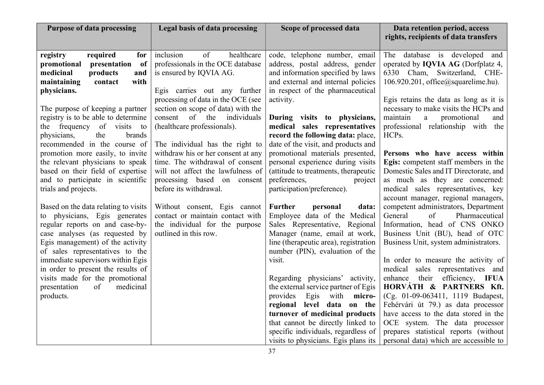| <b>Purpose of data processing</b>                                                                                                                                                                                                                      | Legal basis of data processing                                                                                                                                                 | Scope of processed data                                                                                                                                                                                                                                                                        | Data retention period, access<br>rights, recipients of data transfers                                                                                                                                                                                                                                                                          |
|--------------------------------------------------------------------------------------------------------------------------------------------------------------------------------------------------------------------------------------------------------|--------------------------------------------------------------------------------------------------------------------------------------------------------------------------------|------------------------------------------------------------------------------------------------------------------------------------------------------------------------------------------------------------------------------------------------------------------------------------------------|------------------------------------------------------------------------------------------------------------------------------------------------------------------------------------------------------------------------------------------------------------------------------------------------------------------------------------------------|
| required<br>registry<br>for<br>of<br>promotional<br>presentation<br>medicinal<br>products<br>and<br>with<br>maintaining<br>contact<br>physicians.                                                                                                      | inclusion<br>of<br>healthcare<br>professionals in the OCE database<br>is ensured by IQVIA AG.<br>Egis carries out any further                                                  | code, telephone number, email<br>address, postal address, gender<br>and information specified by laws<br>and external and internal policies<br>in respect of the pharmaceutical                                                                                                                | The database is developed and<br>operated by <b>IQVIA AG</b> (Dorfplatz 4,<br>6330 Cham, Switzerland, CHE-<br>106.920.201, office@squarelime.hu).                                                                                                                                                                                              |
| The purpose of keeping a partner<br>registry is to be able to determine<br>frequency of visits<br>the<br>to<br>physicians,<br>the<br>brands<br>recommended in the course of                                                                            | processing of data in the OCE (see<br>section on scope of data) with the<br>of the<br>consent<br>individuals<br>(healthcare professionals).<br>The individual has the right to | activity.<br>During visits to physicians,<br>medical sales representatives<br>record the following data: place,<br>date of the visit, and products and                                                                                                                                         | Egis retains the data as long as it is<br>necessary to make visits the HCPs and<br>maintain<br>a<br>promotional<br>and<br>professional relationship with the<br>HCPs.                                                                                                                                                                          |
| promotion more easily, to invite<br>the relevant physicians to speak<br>based on their field of expertise<br>and to participate in scientific<br>trials and projects.                                                                                  | withdraw his or her consent at any<br>time. The withdrawal of consent<br>will not affect the lawfulness of<br>processing based on consent<br>before its withdrawal.            | promotional materials presented,<br>personal experience during visits<br>(attitude to treatments, therapeutic<br>preferences,<br>project<br>participation/preference).                                                                                                                         | Persons who have access within<br>Egis: competent staff members in the<br>Domestic Sales and IT Directorate, and<br>as much as they are concerned:<br>medical sales representatives, key<br>account manager, regional managers,                                                                                                                |
| Based on the data relating to visits<br>to physicians, Egis generates<br>regular reports on and case-by-<br>case analyses (as requested by<br>Egis management) of the activity<br>of sales representatives to the<br>immediate supervisors within Egis | Without consent, Egis cannot<br>contact or maintain contact with<br>the individual for the purpose<br>outlined in this row.                                                    | <b>Further</b><br>data:<br>personal<br>Employee data of the Medical<br>Sales Representative, Regional<br>Manager (name, email at work,<br>line (therapeutic area), registration<br>number (PIN), evaluation of the<br>visit.                                                                   | competent administrators, Department<br>General<br>Pharmaceutical<br>of<br>Information, head of CNS ONKO<br>Business Unit (BU), head of OTC<br>Business Unit, system administrators.<br>In order to measure the activity of                                                                                                                    |
| in order to present the results of<br>visits made for the promotional<br>presentation<br>of<br>medicinal<br>products.                                                                                                                                  |                                                                                                                                                                                | Regarding physicians' activity,<br>the external service partner of Egis<br>provides<br>Egis with<br>micro-<br>regional level data on the<br>turnover of medicinal products<br>that cannot be directly linked to<br>specific individuals, regardless of<br>visits to physicians. Egis plans its | medical sales representatives and<br>their<br>efficiency, IFUA<br>enhance<br>HORVÁTH & PARTNERS Kft.<br>(Cg. 01-09-063411, 1119 Budapest,<br>Fehérvári út 79.) as data processor<br>have access to the data stored in the<br>OCE system. The data processor<br>prepares statistical reports (without<br>personal data) which are accessible to |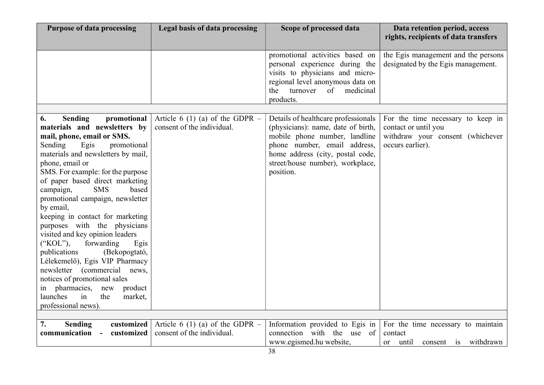| <b>Purpose of data processing</b>                                                                                                                                                                                                                                                                                                                                                                                                                                                                                                                                                                                                                                                                                                    | Legal basis of data processing                                  | Scope of processed data                                                                                                                                                                                                         | Data retention period, access<br>rights, recipients of data transfers                                             |
|--------------------------------------------------------------------------------------------------------------------------------------------------------------------------------------------------------------------------------------------------------------------------------------------------------------------------------------------------------------------------------------------------------------------------------------------------------------------------------------------------------------------------------------------------------------------------------------------------------------------------------------------------------------------------------------------------------------------------------------|-----------------------------------------------------------------|---------------------------------------------------------------------------------------------------------------------------------------------------------------------------------------------------------------------------------|-------------------------------------------------------------------------------------------------------------------|
|                                                                                                                                                                                                                                                                                                                                                                                                                                                                                                                                                                                                                                                                                                                                      |                                                                 | promotional activities based on<br>personal experience during the<br>visits to physicians and micro-<br>regional level anonymous data on<br>of<br>medicinal<br>the<br>turnover<br>products.                                     | the Egis management and the persons<br>designated by the Egis management.                                         |
|                                                                                                                                                                                                                                                                                                                                                                                                                                                                                                                                                                                                                                                                                                                                      |                                                                 |                                                                                                                                                                                                                                 |                                                                                                                   |
| <b>Sending</b><br>promotional<br>6.<br>materials and newsletters by<br>mail, phone, email or SMS.<br>Sending<br>Egis<br>promotional<br>materials and newsletters by mail,<br>phone, email or<br>SMS. For example: for the purpose<br>of paper based direct marketing<br><b>SMS</b><br>campaign,<br>based<br>promotional campaign, newsletter<br>by email,<br>keeping in contact for marketing<br>purposes with the physicians<br>visited and key opinion leaders<br>("KOL"),<br>forwarding<br>Egis<br>publications<br>(Bekopogtató,<br>Lélekemelő), Egis VIP Pharmacy<br>newsletter (commercial news,<br>notices of promotional sales<br>in pharmacies,<br>new<br>product<br>launches<br>in<br>the<br>market,<br>professional news). | Article 6 (1) (a) of the GDPR $-$<br>consent of the individual. | Details of healthcare professionals<br>(physicians): name, date of birth,<br>mobile phone number, landline<br>phone number, email address,<br>home address (city, postal code,<br>street/house number), workplace,<br>position. | For the time necessary to keep in<br>contact or until you<br>withdraw your consent (whichever<br>occurs earlier). |
|                                                                                                                                                                                                                                                                                                                                                                                                                                                                                                                                                                                                                                                                                                                                      |                                                                 |                                                                                                                                                                                                                                 |                                                                                                                   |
| customized<br><b>Sending</b><br>7.<br>communication<br>customized<br>$\sim$ $\sim$                                                                                                                                                                                                                                                                                                                                                                                                                                                                                                                                                                                                                                                   | Article 6 (1) (a) of the GDPR $-$<br>consent of the individual. | Information provided to Egis in<br>connection with the use of<br>www.egismed.hu website,                                                                                                                                        | For the time necessary to maintain<br>contact<br>consent is withdrawn<br>until<br><sub>or</sub>                   |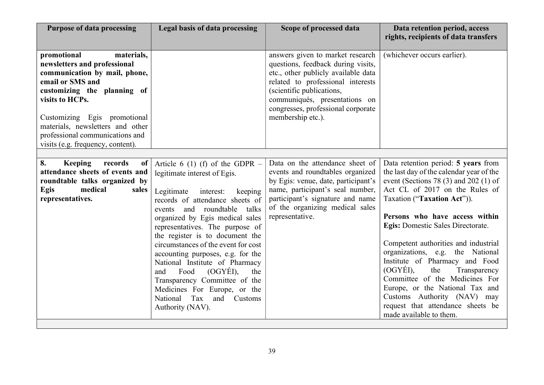| <b>Purpose of data processing</b>                                                                                                                                                                                                                                                                            | Legal basis of data processing                                                                                                                                                                                                                                                                                                                                                                                                                                                                                                                                  | Scope of processed data                                                                                                                                                                                                                                                     | Data retention period, access<br>rights, recipients of data transfers                                                                                                                                                                                                                                                                                                                                                                                                                                                                                                                     |
|--------------------------------------------------------------------------------------------------------------------------------------------------------------------------------------------------------------------------------------------------------------------------------------------------------------|-----------------------------------------------------------------------------------------------------------------------------------------------------------------------------------------------------------------------------------------------------------------------------------------------------------------------------------------------------------------------------------------------------------------------------------------------------------------------------------------------------------------------------------------------------------------|-----------------------------------------------------------------------------------------------------------------------------------------------------------------------------------------------------------------------------------------------------------------------------|-------------------------------------------------------------------------------------------------------------------------------------------------------------------------------------------------------------------------------------------------------------------------------------------------------------------------------------------------------------------------------------------------------------------------------------------------------------------------------------------------------------------------------------------------------------------------------------------|
| materials,<br>promotional<br>newsletters and professional<br>communication by mail, phone,<br>email or SMS and<br>customizing the planning of<br>visits to HCPs.<br>Customizing Egis promotional<br>materials, newsletters and other<br>professional communications and<br>visits (e.g. frequency, content). |                                                                                                                                                                                                                                                                                                                                                                                                                                                                                                                                                                 | answers given to market research<br>questions, feedback during visits,<br>etc., other publicly available data<br>related to professional interests<br>(scientific publications,<br>communiqués, presentations on<br>congresses, professional corporate<br>membership etc.). | (whichever occurs earlier).                                                                                                                                                                                                                                                                                                                                                                                                                                                                                                                                                               |
| 8.<br><b>Keeping</b><br>records<br>of<br>attendance sheets of events and<br>roundtable talks organized by<br>medical<br>Egis<br>sales<br>representatives.                                                                                                                                                    | Article 6 (1) (f) of the GDPR $-$<br>legitimate interest of Egis.<br>interest:<br>Legitimate<br>keeping<br>records of attendance sheets of<br>and<br>roundtable<br>talks<br>events<br>organized by Egis medical sales<br>representatives. The purpose of<br>the register is to document the<br>circumstances of the event for cost<br>accounting purposes, e.g. for the<br>National Institute of Pharmacy<br>(OGYÉI),<br>Food<br>and<br>the<br>Transparency Committee of the<br>Medicines For Europe, or the<br>Tax and Customs<br>National<br>Authority (NAV). | Data on the attendance sheet of<br>events and roundtables organized<br>by Egis: venue, date, participant's<br>name, participant's seal number,<br>participant's signature and name<br>of the organizing medical sales<br>representative.                                    | Data retention period: 5 years from<br>the last day of the calendar year of the<br>event (Sections 78 $(3)$ and 202 $(1)$ of<br>Act CL of 2017 on the Rules of<br>Taxation ("Taxation Act")).<br>Persons who have access within<br>Egis: Domestic Sales Directorate.<br>Competent authorities and industrial<br>organizations, e.g. the National<br>Institute of Pharmacy and Food<br>(OGYÉI),<br>the<br>Transparency<br>Committee of the Medicines For<br>Europe, or the National Tax and<br>Customs Authority (NAV) may<br>request that attendance sheets be<br>made available to them. |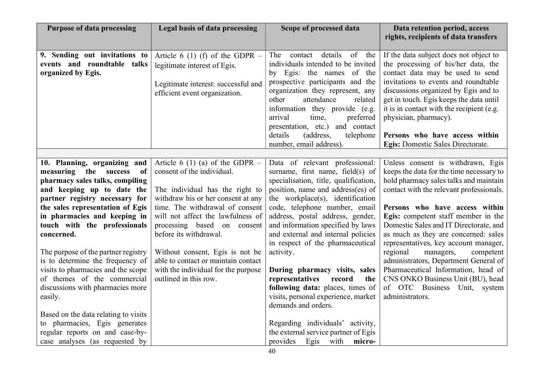| <b>Purpose of data processing</b>                                                                                                                                                           | Legal basis of data processing                                                                                                            | Scope of processed data                                                                                                                                                                                                                                                                                                                                  | Data retention period, access<br>rights, recipients of data transfers                                                                                                                                                                                                                                                                                |
|---------------------------------------------------------------------------------------------------------------------------------------------------------------------------------------------|-------------------------------------------------------------------------------------------------------------------------------------------|----------------------------------------------------------------------------------------------------------------------------------------------------------------------------------------------------------------------------------------------------------------------------------------------------------------------------------------------------------|------------------------------------------------------------------------------------------------------------------------------------------------------------------------------------------------------------------------------------------------------------------------------------------------------------------------------------------------------|
| 9. Sending out invitations to<br>events and roundtable talks<br>organized by Egis.                                                                                                          | Article 6 (1) (f) of the GDPR $-$<br>legitimate interest of Egis.<br>Legitimate interest: successful and<br>efficient event organization. | contact details of the<br>The<br>individuals intended to be invited<br>by Egis: the names of the<br>prospective participants and the<br>organization they represent, any<br>other<br>attendance<br>related<br>information they provide (e.g.<br>arrival<br>time,<br>preferred<br>presentation, etc.)<br>and contact<br>details<br>telephone<br>(address, | If the data subject does not object to<br>the processing of his/her data, the<br>contact data may be used to send<br>invitations to events and roundtable<br>discussions organized by Egis and to<br>get in touch. Egis keeps the data until<br>it is in contact with the recipient (e.g.<br>physician, pharmacy).<br>Persons who have access within |
|                                                                                                                                                                                             |                                                                                                                                           | number, email address).                                                                                                                                                                                                                                                                                                                                  | Egis: Domestic Sales Directorate.                                                                                                                                                                                                                                                                                                                    |
| 10. Planning, organizing and<br>the success<br>measuring<br>of                                                                                                                              | Article 6 (1) (a) of the GDPR $-$<br>consent of the individual.                                                                           | Data of relevant professional:<br>surname, first name, field(s) of                                                                                                                                                                                                                                                                                       | Unless consent is withdrawn, Egis<br>keeps the data for the time necessary to                                                                                                                                                                                                                                                                        |
| pharmacy sales talks, compiling<br>and keeping up to date the<br>partner registry necessary for                                                                                             | The individual has the right to<br>withdraw his or her consent at any                                                                     | specialisation, title, qualification,<br>position, name and address(es) of<br>the workplace(s), identification                                                                                                                                                                                                                                           | hold pharmacy sales talks and maintain<br>contact with the relevant professionals.                                                                                                                                                                                                                                                                   |
| the sales representation of Egis<br>in pharmacies and keeping in<br>touch with the professionals<br>concerned.                                                                              | time. The withdrawal of consent<br>will not affect the lawfulness of<br>processing based on consent<br>before its withdrawal.             | code, telephone number, email<br>address, postal address, gender,<br>and information specified by laws<br>and external and internal policies<br>in respect of the pharmaceutical                                                                                                                                                                         | Persons who have access within<br>Egis: competent staff member in the<br>Domestic Sales and IT Directorate, and<br>as much as they are concerned: sales<br>representatives, key account manager,                                                                                                                                                     |
| The purpose of the partner registry<br>is to determine the frequency of<br>visits to pharmacies and the scope<br>of themes of the commercial<br>discussions with pharmacies more<br>easily. | Without consent, Egis is not be<br>able to contact or maintain contact<br>with the individual for the purpose<br>outlined in this row.    | activity.<br>During pharmacy visits, sales<br>representatives<br>record<br>the<br>following data: places, times of<br>visits, personal experience, market<br>demands and orders.                                                                                                                                                                         | regional<br>managers,<br>competent<br>administrators, Department General of<br>Pharmaceutical Information, head of<br>CNS ONKO Business Unit (BU), head<br>of OTC Business Unit, system<br>administrators.                                                                                                                                           |
| Based on the data relating to visits<br>to pharmacies, Egis generates<br>regular reports on and case-by-<br>case analyses (as requested by                                                  |                                                                                                                                           | Regarding individuals' activity,<br>the external service partner of Egis<br>provides<br>with<br>micro-<br>Egis                                                                                                                                                                                                                                           |                                                                                                                                                                                                                                                                                                                                                      |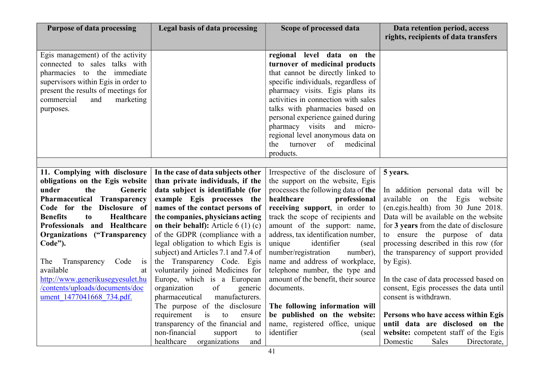| <b>Purpose of data processing</b>                                                                                                                                                                                                                                                                                                                                                                                                                | Legal basis of data processing                                                                                                                                                                                                                                                                                                                                                                                                                                                                                                                                                                                                                                                                                                   | Scope of processed data                                                                                                                                                                                                                                                                                                                                                                                                                                                                                                                                                                                             | Data retention period, access<br>rights, recipients of data transfers                                                                                                                                                                                                                                                                                                                                                                                                                                                                                                                                        |
|--------------------------------------------------------------------------------------------------------------------------------------------------------------------------------------------------------------------------------------------------------------------------------------------------------------------------------------------------------------------------------------------------------------------------------------------------|----------------------------------------------------------------------------------------------------------------------------------------------------------------------------------------------------------------------------------------------------------------------------------------------------------------------------------------------------------------------------------------------------------------------------------------------------------------------------------------------------------------------------------------------------------------------------------------------------------------------------------------------------------------------------------------------------------------------------------|---------------------------------------------------------------------------------------------------------------------------------------------------------------------------------------------------------------------------------------------------------------------------------------------------------------------------------------------------------------------------------------------------------------------------------------------------------------------------------------------------------------------------------------------------------------------------------------------------------------------|--------------------------------------------------------------------------------------------------------------------------------------------------------------------------------------------------------------------------------------------------------------------------------------------------------------------------------------------------------------------------------------------------------------------------------------------------------------------------------------------------------------------------------------------------------------------------------------------------------------|
| Egis management) of the activity<br>connected to sales talks with<br>pharmacies to the immediate<br>supervisors within Egis in order to<br>present the results of meetings for<br>commercial<br>and<br>marketing<br>purposes.                                                                                                                                                                                                                    |                                                                                                                                                                                                                                                                                                                                                                                                                                                                                                                                                                                                                                                                                                                                  | regional level data on the<br>turnover of medicinal products<br>that cannot be directly linked to<br>specific individuals, regardless of<br>pharmacy visits. Egis plans its<br>activities in connection with sales<br>talks with pharmacies based on<br>personal experience gained during<br>pharmacy visits and micro-<br>regional level anonymous data on<br>medicinal<br>the<br>turnover<br>of<br>products.                                                                                                                                                                                                      |                                                                                                                                                                                                                                                                                                                                                                                                                                                                                                                                                                                                              |
|                                                                                                                                                                                                                                                                                                                                                                                                                                                  |                                                                                                                                                                                                                                                                                                                                                                                                                                                                                                                                                                                                                                                                                                                                  |                                                                                                                                                                                                                                                                                                                                                                                                                                                                                                                                                                                                                     |                                                                                                                                                                                                                                                                                                                                                                                                                                                                                                                                                                                                              |
| 11. Complying with disclosure<br>obligations on the Egis website<br>under<br>the<br>Generic<br>Pharmaceutical<br>Transparency<br>Code for the Disclosure of<br><b>Benefits</b><br>Healthcare<br>to<br>Professionals and Healthcare<br><b>Organizations ("Transparency</b><br>Code").<br>Code<br>Transparency<br>The<br>is<br>available<br>at<br>http://www.generikusegyesulet.hu<br>/contents/uploads/documents/doc<br>ument 1477041668 734.pdf. | In the case of data subjects other<br>than private individuals, if the<br>data subject is identifiable (for<br>example Egis processes the<br>names of the contact persons of<br>the companies, physicians acting<br>on their behalf): Article $6(1)(c)$<br>of the GDPR (compliance with a<br>legal obligation to which Egis is<br>subject) and Articles 7.1 and 7.4 of<br>the Transparency Code. Egis<br>voluntarily joined Medicines for<br>Europe, which is a European<br>organization<br>of<br>generic<br>manufacturers.<br>pharmaceutical<br>The purpose of the disclosure<br>requirement<br>is<br>to<br>ensure<br>transparency of the financial and<br>non-financial<br>support<br>to<br>healthcare<br>organizations<br>and | Irrespective of the disclosure of<br>the support on the website, Egis<br>processes the following data of the<br>healthcare<br>professional<br>receiving support, in order to<br>track the scope of recipients and<br>amount of the support: name,<br>address, tax identification number,<br>unique<br>identifier<br>(seal)<br>number/registration<br>number),<br>name and address of workplace,<br>telephone number, the type and<br>amount of the benefit, their source<br>documents.<br>The following information will<br>be published on the website:<br>name, registered office, unique<br>identifier<br>(seal) | 5 years.<br>In addition personal data will be<br>available on the Egis website<br>(en.egis.health) from 30 June 2018.<br>Data will be available on the website<br>for 3 years from the date of disclosure<br>to ensure the purpose of data<br>processing described in this row (for<br>the transparency of support provided<br>by Egis).<br>In the case of data processed based on<br>consent, Egis processes the data until<br>consent is withdrawn.<br>Persons who have access within Egis<br>until data are disclosed on the<br>website: competent staff of the Egis<br>Domestic<br>Directorate,<br>Sales |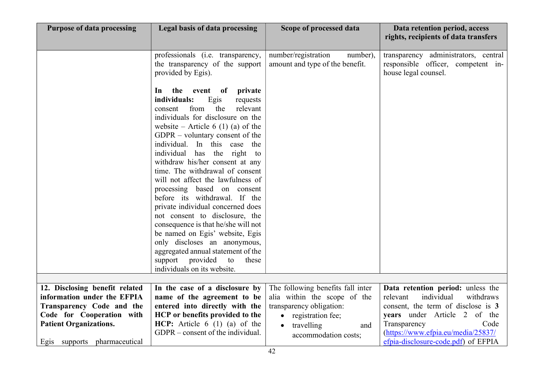| <b>Purpose of data processing</b> | Legal basis of data processing                                                                                                                                                                                                                                                                                                                                                                                                                                                                                                                                                                                                                                                                                                                                   | Scope of processed data                                            | Data retention period, access<br>rights, recipients of data transfers                              |
|-----------------------------------|------------------------------------------------------------------------------------------------------------------------------------------------------------------------------------------------------------------------------------------------------------------------------------------------------------------------------------------------------------------------------------------------------------------------------------------------------------------------------------------------------------------------------------------------------------------------------------------------------------------------------------------------------------------------------------------------------------------------------------------------------------------|--------------------------------------------------------------------|----------------------------------------------------------------------------------------------------|
|                                   | professionals (i.e. transparency,<br>the transparency of the support<br>provided by Egis).                                                                                                                                                                                                                                                                                                                                                                                                                                                                                                                                                                                                                                                                       | number/registration<br>number),<br>amount and type of the benefit. | transparency administrators, central<br>responsible officer, competent in-<br>house legal counsel. |
|                                   | the<br>private<br>event<br>of<br>1n<br>individuals:<br>Egis<br>requests<br>from<br>the<br>relevant<br>consent<br>individuals for disclosure on the<br>website – Article 6 (1) (a) of the<br>$GDPR - voluntary consent of the$<br>individual. In this case the<br>individual has the right to<br>withdraw his/her consent at any<br>time. The withdrawal of consent<br>will not affect the lawfulness of<br>processing based on consent<br>before its withdrawal. If the<br>private individual concerned does<br>not consent to disclosure, the<br>consequence is that he/she will not<br>be named on Egis' website, Egis<br>only discloses an anonymous,<br>aggregated annual statement of the<br>support provided<br>to<br>these<br>individuals on its website. |                                                                    |                                                                                                    |
| 12. Disclosing benefit related    | In the case of a disclosure by                                                                                                                                                                                                                                                                                                                                                                                                                                                                                                                                                                                                                                                                                                                                   | The following benefits fall inter                                  | Data retention period: unless the                                                                  |
| information under the EFPIA       | name of the agreement to be                                                                                                                                                                                                                                                                                                                                                                                                                                                                                                                                                                                                                                                                                                                                      | alia within the scope of the                                       | individual<br>relevant<br>withdraws                                                                |
| Transparency Code and the         | entered into directly with the                                                                                                                                                                                                                                                                                                                                                                                                                                                                                                                                                                                                                                                                                                                                   | transparency obligation:                                           | consent, the term of disclose is 3                                                                 |
| Code for Cooperation with         | HCP or benefits provided to the<br>HCP: Article $6(1)(a)$ of the                                                                                                                                                                                                                                                                                                                                                                                                                                                                                                                                                                                                                                                                                                 | • registration fee;                                                | years under Article 2 of the<br>Code                                                               |
| <b>Patient Organizations.</b>     | GDPR – consent of the individual.                                                                                                                                                                                                                                                                                                                                                                                                                                                                                                                                                                                                                                                                                                                                | travelling<br>$\bullet$<br>and                                     | Transparency<br>(https://www.efpia.eu/media/25837/                                                 |
| Egis supports pharmaceutical      |                                                                                                                                                                                                                                                                                                                                                                                                                                                                                                                                                                                                                                                                                                                                                                  | accommodation costs;                                               | efpia-disclosure-code.pdf) of EFPIA                                                                |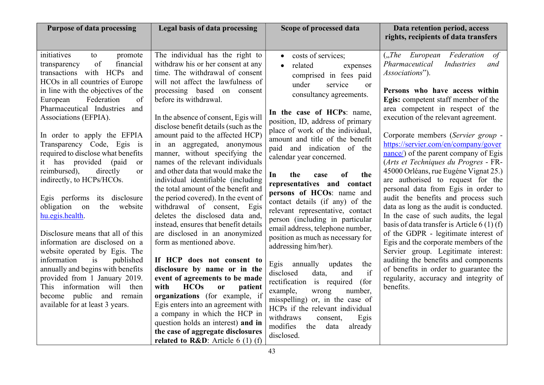| <b>Purpose of data processing</b>                                                                                                                                                                                                                                                                                                                                                                                                                                                                                                                                                                                                                                                                                                                                                                                                                                                             | <b>Legal basis of data processing</b>                                                                                                                                                                                                                                                                                                                                                                                                                                                                                                                                                                                                                                                                                                                                                                                                                                                                                                                                                                                                                                                                                                            | Scope of processed data                                                                                                                                                                                                                                                                                                                                                                                                                                                                                                                                                                                                                                                                                                                                                                                                                                                                                                                                           | Data retention period, access<br>rights, recipients of data transfers                                                                                                                                                                                                                                                                                                                                                                                                                                                                                                                                                                                                                                                                                                                                                                                                                                                                                                       |
|-----------------------------------------------------------------------------------------------------------------------------------------------------------------------------------------------------------------------------------------------------------------------------------------------------------------------------------------------------------------------------------------------------------------------------------------------------------------------------------------------------------------------------------------------------------------------------------------------------------------------------------------------------------------------------------------------------------------------------------------------------------------------------------------------------------------------------------------------------------------------------------------------|--------------------------------------------------------------------------------------------------------------------------------------------------------------------------------------------------------------------------------------------------------------------------------------------------------------------------------------------------------------------------------------------------------------------------------------------------------------------------------------------------------------------------------------------------------------------------------------------------------------------------------------------------------------------------------------------------------------------------------------------------------------------------------------------------------------------------------------------------------------------------------------------------------------------------------------------------------------------------------------------------------------------------------------------------------------------------------------------------------------------------------------------------|-------------------------------------------------------------------------------------------------------------------------------------------------------------------------------------------------------------------------------------------------------------------------------------------------------------------------------------------------------------------------------------------------------------------------------------------------------------------------------------------------------------------------------------------------------------------------------------------------------------------------------------------------------------------------------------------------------------------------------------------------------------------------------------------------------------------------------------------------------------------------------------------------------------------------------------------------------------------|-----------------------------------------------------------------------------------------------------------------------------------------------------------------------------------------------------------------------------------------------------------------------------------------------------------------------------------------------------------------------------------------------------------------------------------------------------------------------------------------------------------------------------------------------------------------------------------------------------------------------------------------------------------------------------------------------------------------------------------------------------------------------------------------------------------------------------------------------------------------------------------------------------------------------------------------------------------------------------|
| initiatives<br>promote<br>to<br>of<br>financial<br>transparency<br>transactions with HCPs and<br>HCOs in all countries of Europe<br>in line with the objectives of the<br>Federation<br>of<br>European<br>Pharmaceutical Industries and<br>Associations (EFPIA).<br>In order to apply the EFPIA<br>Transparency Code, Egis is<br>required to disclose what benefits<br>it has provided (paid<br><sub>or</sub><br>reimbursed),<br>directly<br><sub>or</sub><br>indirectly, to HCPs/HCOs.<br>Egis performs its disclosure<br>the<br>obligation<br>website<br>on<br>hu.egis.health.<br>Disclosure means that all of this<br>information are disclosed on a<br>website operated by Egis. The<br>information<br>published<br>is<br>annually and begins with benefits<br>provided from 1 January 2019.<br>This information will then<br>become public and remain<br>available for at least 3 years. | The individual has the right to<br>withdraw his or her consent at any<br>time. The withdrawal of consent<br>will not affect the lawfulness of<br>processing based on consent<br>before its withdrawal.<br>In the absence of consent, Egis will<br>disclose benefit details (such as the<br>amount paid to the affected HCP)<br>in an aggregated, anonymous<br>manner, without specifying the<br>names of the relevant individuals<br>and other data that would make the<br>individual identifiable (including<br>the total amount of the benefit and<br>the period covered). In the event of<br>withdrawal of consent, Egis<br>deletes the disclosed data and,<br>instead, ensures that benefit details<br>are disclosed in an anonymized<br>form as mentioned above.<br>If HCP does not consent to<br>disclosure by name or in the<br>event of agreements to be made<br><b>HCOs</b><br>with<br><b>or</b><br>patient<br>organizations (for example, if<br>Egis enters into an agreement with<br>a company in which the HCP in<br>question holds an interest) and in<br>the case of aggregate disclosures<br>related to $R&D$ : Article 6 (1) (f) | costs of services;<br>$\bullet$<br>related<br>expenses<br>$\bullet$<br>comprised in fees paid<br>under<br>service<br>or<br>consultancy agreements.<br>In the case of HCPs: name,<br>position, ID, address of primary<br>place of work of the individual,<br>amount and title of the benefit<br>paid and indication of the<br>calendar year concerned.<br>In<br>the<br>of<br>the<br>case<br>representatives and contact<br>persons of HCOs: name and<br>contact details (if any) of the<br>relevant representative, contact<br>person (including in particular<br>email address, telephone number,<br>position as much as necessary for<br>addressing him/her).<br>Egis annually updates<br>the<br>if<br>disclosed<br>data,<br>and<br>rectification is required<br>(for<br>example,<br>number,<br>wrong<br>misspelling) or, in the case of<br>HCPs if the relevant individual<br>withdraws<br>Egis<br>consent,<br>modifies<br>the<br>already<br>data<br>disclosed. | ("The European Federation<br>of<br>Pharmaceutical<br>Industries<br>and<br>Associations").<br>Persons who have access within<br>Egis: competent staff member of the<br>area competent in respect of the<br>execution of the relevant agreement.<br>Corporate members (Servier group -<br>https://servier.com/en/company/gover<br>nance/) of the parent company of Egis<br>(Arts et Techniques du Progres - FR-<br>45000 Orléans, rue Eugéne Vignat 25.)<br>are authorised to request for the<br>personal data from Egis in order to<br>audit the benefits and process such<br>data as long as the audit is conducted.<br>In the case of such audits, the legal<br>basis of data transfer is Article $6(1)(f)$<br>of the GDPR - legitimate interest of<br>Egis and the corporate members of the<br>Servier group. Legitimate interest:<br>auditing the benefits and components<br>of benefits in order to guarantee the<br>regularity, accuracy and integrity of<br>benefits. |